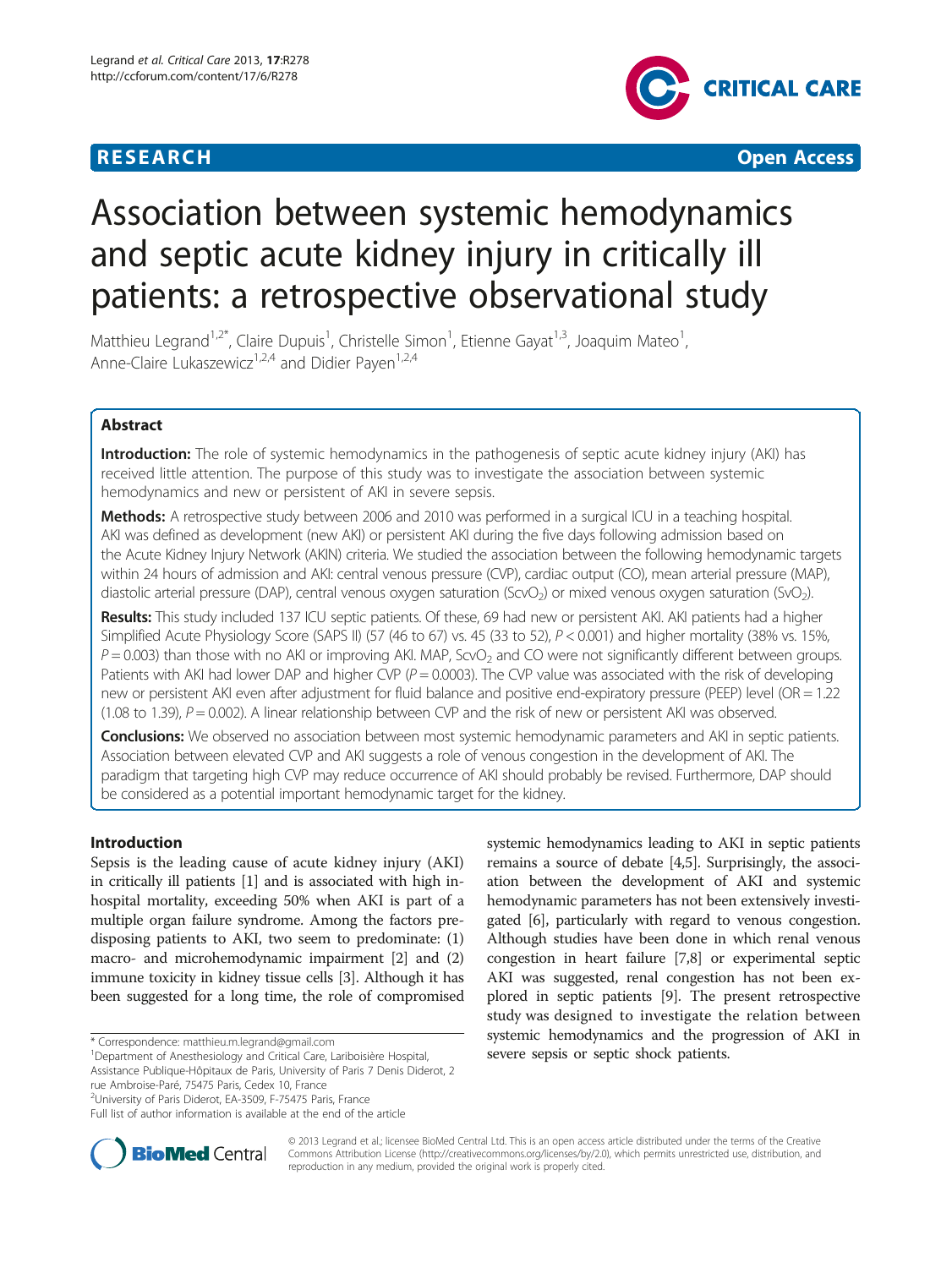## **RESEARCH CHINESE ARCH CHINESE ARCH CHINESE ARCH <b>CHINESE ARCH CHINESE ARCH CHINESE ARCH <b>CHINESE** ARCH **CHINESE ARCH** CHINESE ARCH **CHINESE ARCH 2014**



# Association between systemic hemodynamics and septic acute kidney injury in critically ill patients: a retrospective observational study

Matthieu Legrand<sup>1,2\*</sup>, Claire Dupuis<sup>1</sup>, Christelle Simon<sup>1</sup>, Etienne Gayat<sup>1,3</sup>, Joaquim Mateo<sup>1</sup> , Anne-Claire Lukaszewicz<sup>1,2,4</sup> and Didier Payen<sup>1,2,4</sup>

## Abstract

Introduction: The role of systemic hemodynamics in the pathogenesis of septic acute kidney injury (AKI) has received little attention. The purpose of this study was to investigate the association between systemic hemodynamics and new or persistent of AKI in severe sepsis.

Methods: A retrospective study between 2006 and 2010 was performed in a surgical ICU in a teaching hospital. AKI was defined as development (new AKI) or persistent AKI during the five days following admission based on the Acute Kidney Injury Network (AKIN) criteria. We studied the association between the following hemodynamic targets within 24 hours of admission and AKI: central venous pressure (CVP), cardiac output (CO), mean arterial pressure (MAP), diastolic arterial pressure (DAP), central venous oxygen saturation (ScvO<sub>2</sub>) or mixed venous oxygen saturation (SvO<sub>2</sub>).

Results: This study included 137 ICU septic patients. Of these, 69 had new or persistent AKI. AKI patients had a higher Simplified Acute Physiology Score (SAPS II) (57 (46 to 67) vs. 45 (33 to 52), P < 0.001) and higher mortality (38% vs. 15%,  $P = 0.003$ ) than those with no AKI or improving AKI. MAP, ScvO<sub>2</sub> and CO were not significantly different between groups. Patients with AKI had lower DAP and higher CVP ( $P = 0.0003$ ). The CVP value was associated with the risk of developing new or persistent AKI even after adjustment for fluid balance and positive end-expiratory pressure (PEEP) level (OR = 1.22 (1.08 to 1.39),  $P = 0.002$ ). A linear relationship between CVP and the risk of new or persistent AKI was observed.

Conclusions: We observed no association between most systemic hemodynamic parameters and AKI in septic patients. Association between elevated CVP and AKI suggests a role of venous congestion in the development of AKI. The paradigm that targeting high CVP may reduce occurrence of AKI should probably be revised. Furthermore, DAP should be considered as a potential important hemodynamic target for the kidney.

## Introduction

Sepsis is the leading cause of acute kidney injury (AKI) in critically ill patients [\[1\]](#page-6-0) and is associated with high inhospital mortality, exceeding 50% when AKI is part of a multiple organ failure syndrome. Among the factors predisposing patients to AKI, two seem to predominate: (1) macro- and microhemodynamic impairment [[2\]](#page-6-0) and (2) immune toxicity in kidney tissue cells [[3\]](#page-6-0). Although it has been suggested for a long time, the role of compromised

<sup>2</sup>University of Paris Diderot, EA-3509, F-75475 Paris, France

systemic hemodynamics leading to AKI in septic patients remains a source of debate [[4,5](#page-6-0)]. Surprisingly, the association between the development of AKI and systemic hemodynamic parameters has not been extensively investigated [[6](#page-6-0)], particularly with regard to venous congestion. Although studies have been done in which renal venous congestion in heart failure [[7,8](#page-6-0)] or experimental septic AKI was suggested, renal congestion has not been explored in septic patients [\[9](#page-6-0)]. The present retrospective study was designed to investigate the relation between systemic hemodynamics and the progression of AKI in \* Correspondence: [matthieu.m.legrand@gmail.com](mailto:matthieu.m.legrand@gmail.com) and the system of the including the product of Anesthesiology and Critical Care, Lariboisière Hospital, and the production of the production of the patients.



© 2013 Legrand et al.; licensee BioMed Central Ltd. This is an open access article distributed under the terms of the Creative Commons Attribution License [\(http://creativecommons.org/licenses/by/2.0\)](http://creativecommons.org/licenses/by/2.0), which permits unrestricted use, distribution, and reproduction in any medium, provided the original work is properly cited.

Assistance Publique-Hôpitaux de Paris, University of Paris 7 Denis Diderot, 2 rue Ambroise-Paré, 75475 Paris, Cedex 10, France

Full list of author information is available at the end of the article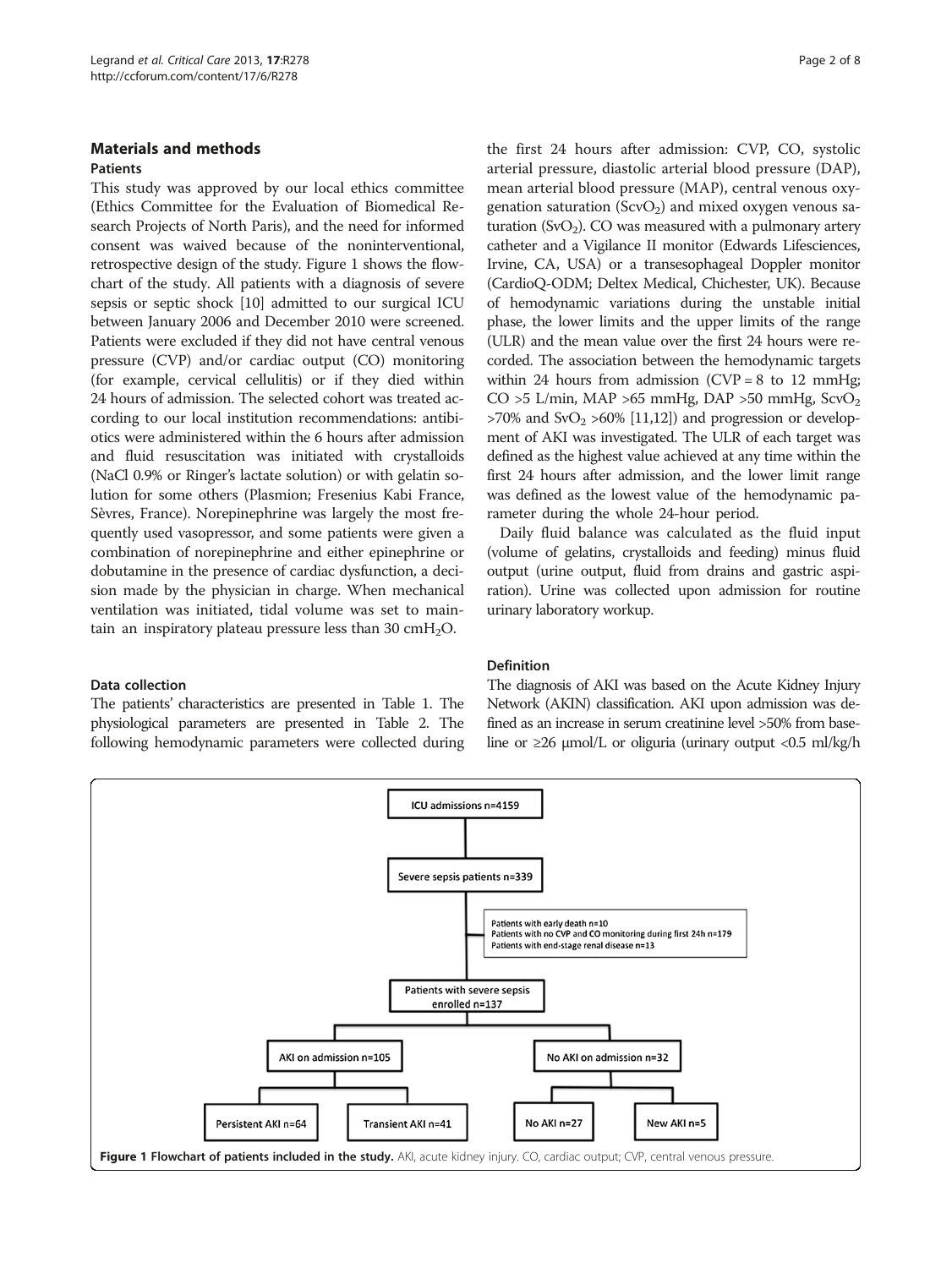## <span id="page-1-0"></span>Materials and methods Patients

This study was approved by our local ethics committee (Ethics Committee for the Evaluation of Biomedical Research Projects of North Paris), and the need for informed consent was waived because of the noninterventional, retrospective design of the study. Figure 1 shows the flowchart of the study. All patients with a diagnosis of severe sepsis or septic shock [\[10\]](#page-6-0) admitted to our surgical ICU between January 2006 and December 2010 were screened. Patients were excluded if they did not have central venous pressure (CVP) and/or cardiac output (CO) monitoring (for example, cervical cellulitis) or if they died within 24 hours of admission. The selected cohort was treated according to our local institution recommendations: antibiotics were administered within the 6 hours after admission and fluid resuscitation was initiated with crystalloids (NaCl 0.9% or Ringer's lactate solution) or with gelatin solution for some others (Plasmion; Fresenius Kabi France, Sèvres, France). Norepinephrine was largely the most frequently used vasopressor, and some patients were given a combination of norepinephrine and either epinephrine or dobutamine in the presence of cardiac dysfunction, a decision made by the physician in charge. When mechanical ventilation was initiated, tidal volume was set to maintain an inspiratory plateau pressure less than  $30 \text{ cm}H_2O$ .

## Data collection

The patients' characteristics are presented in Table [1.](#page-2-0) The physiological parameters are presented in Table [2.](#page-3-0) The following hemodynamic parameters were collected during the first 24 hours after admission: CVP, CO, systolic arterial pressure, diastolic arterial blood pressure (DAP), mean arterial blood pressure (MAP), central venous oxygenation saturation ( $ScvO<sub>2</sub>$ ) and mixed oxygen venous saturation  $(SvO<sub>2</sub>)$ . CO was measured with a pulmonary artery catheter and a Vigilance II monitor (Edwards Lifesciences, Irvine, CA, USA) or a transesophageal Doppler monitor (CardioQ-ODM; Deltex Medical, Chichester, UK). Because of hemodynamic variations during the unstable initial phase, the lower limits and the upper limits of the range (ULR) and the mean value over the first 24 hours were recorded. The association between the hemodynamic targets within 24 hours from admission  $(CVP = 8$  to 12 mmHg;  $CO > 5$  L/min, MAP > 65 mmHg, DAP > 50 mmHg, ScvO<sub>2</sub>  $>70\%$  and SvO<sub>2</sub>  $>60\%$  [\[11,12](#page-6-0)]) and progression or development of AKI was investigated. The ULR of each target was defined as the highest value achieved at any time within the first 24 hours after admission, and the lower limit range was defined as the lowest value of the hemodynamic parameter during the whole 24-hour period.

Daily fluid balance was calculated as the fluid input (volume of gelatins, crystalloids and feeding) minus fluid output (urine output, fluid from drains and gastric aspiration). Urine was collected upon admission for routine urinary laboratory workup.

## Definition

The diagnosis of AKI was based on the Acute Kidney Injury Network (AKIN) classification. AKI upon admission was defined as an increase in serum creatinine level >50% from baseline or  $\geq$ 26  $\mu$ mol/L or oliguria (urinary output <0.5 ml/kg/h

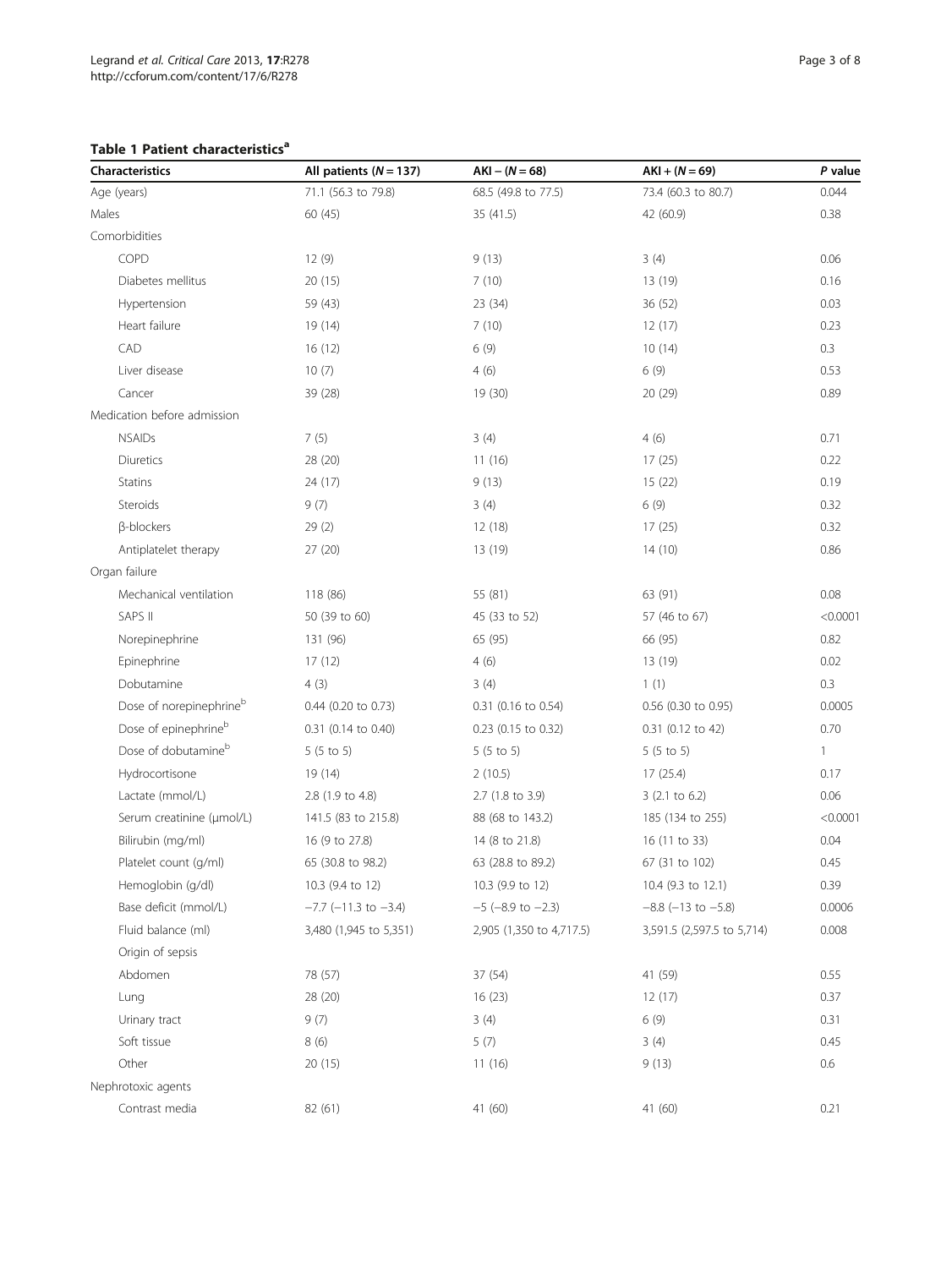<span id="page-2-0"></span>Table 1 Patient characteristics<sup>a</sup>

| Characteristics                  | All patients $(N = 137)$     | $AKI - (N = 68)$          | $AKI + (N = 69)$           | P value      |
|----------------------------------|------------------------------|---------------------------|----------------------------|--------------|
| Age (years)                      | 71.1 (56.3 to 79.8)          | 68.5 (49.8 to 77.5)       | 73.4 (60.3 to 80.7)        | 0.044        |
| Males                            | 60 (45)                      | 35(41.5)                  | 42 (60.9)                  | 0.38         |
| Comorbidities                    |                              |                           |                            |              |
| COPD                             | 12 (9)                       | 9(13)                     | 3(4)                       | 0.06         |
| Diabetes mellitus                | 20(15)                       | 7(10)                     | 13 (19)                    | 0.16         |
| Hypertension                     | 59 (43)                      | 23(34)                    | 36 (52)                    | 0.03         |
| Heart failure                    | 19 (14)                      | 7(10)                     | 12(17)                     | 0.23         |
| CAD                              | 16(12)                       | 6(9)                      | 10(14)                     | 0.3          |
| Liver disease                    | 10(7)                        | 4(6)                      | 6(9)                       | 0.53         |
| Cancer                           | 39 (28)                      | 19(30)                    | 20 (29)                    | 0.89         |
| Medication before admission      |                              |                           |                            |              |
| <b>NSAIDs</b>                    | 7(5)                         | 3(4)                      | 4(6)                       | 0.71         |
| Diuretics                        | 28 (20)                      | 11(16)                    | 17(25)                     | 0.22         |
| Statins                          | 24 (17)                      | 9(13)                     | 15(22)                     | 0.19         |
| Steroids                         | 9(7)                         | 3(4)                      | 6(9)                       | 0.32         |
| <b>ß-blockers</b>                | 29(2)                        | 12(18)                    | 17(25)                     | 0.32         |
| Antiplatelet therapy             | 27(20)                       | 13 (19)                   | 14(10)                     | 0.86         |
| Organ failure                    |                              |                           |                            |              |
| Mechanical ventilation           | 118 (86)                     | 55 (81)                   | 63 (91)                    | 0.08         |
| SAPS II                          | 50 (39 to 60)                | 45 (33 to 52)             | 57 (46 to 67)              | < 0.0001     |
| Norepinephrine                   | 131 (96)                     | 65 (95)                   | 66 (95)                    | 0.82         |
| Epinephrine                      | 17(12)                       | 4(6)                      | 13 (19)                    | 0.02         |
| Dobutamine                       | 4(3)                         | 3(4)                      | 1(1)                       | 0.3          |
| Dose of norepinephrineb          | $0.44$ (0.20 to 0.73)        | 0.31 (0.16 to 0.54)       | 0.56 (0.30 to 0.95)        | 0.0005       |
| Dose of epinephrine <sup>b</sup> | 0.31 (0.14 to 0.40)          | 0.23 (0.15 to 0.32)       | 0.31 (0.12 to 42)          | 0.70         |
| Dose of dobutamine <sup>b</sup>  | $5(5 \text{ to } 5)$         | $5(5 \text{ to } 5)$      | $5(5 \text{ to } 5)$       | $\mathbf{1}$ |
| Hydrocortisone                   | 19 (14)                      | 2(10.5)                   | 17(25.4)                   | 0.17         |
| Lactate (mmol/L)                 | 2.8 (1.9 to 4.8)             | 2.7 (1.8 to 3.9)          | $3(2.1 \text{ to } 6.2)$   | 0.06         |
| Serum creatinine (µmol/L)        | 141.5 (83 to 215.8)          | 88 (68 to 143.2)          | 185 (134 to 255)           | < 0.0001     |
| Bilirubin (mg/ml)                | 16 (9 to 27.8)               | 14 (8 to 21.8)            | 16 (11 to 33)              | 0.04         |
| Platelet count (g/ml)            | 65 (30.8 to 98.2)            | 63 (28.8 to 89.2)         | 67 (31 to 102)             | 0.45         |
| Hemoglobin (g/dl)                | 10.3 (9.4 to 12)             | 10.3 (9.9 to 12)          | 10.4 (9.3 to 12.1)         | 0.39         |
| Base deficit (mmol/L)            | $-7.7$ ( $-11.3$ to $-3.4$ ) | $-5$ ( $-8.9$ to $-2.3$ ) | $-8.8$ ( $-13$ to $-5.8$ ) | 0.0006       |
| Fluid balance (ml)               | 3,480 (1,945 to 5,351)       | 2,905 (1,350 to 4,717.5)  | 3,591.5 (2,597.5 to 5,714) | 0.008        |
| Origin of sepsis                 |                              |                           |                            |              |
| Abdomen                          | 78 (57)                      | 37 (54)                   | 41 (59)                    | 0.55         |
| Lung                             | 28 (20)                      | 16(23)                    | 12(17)                     | 0.37         |
| Urinary tract                    | 9(7)                         | 3(4)                      | 6(9)                       | 0.31         |
| Soft tissue                      | 8 (6)                        | 5(7)                      | 3(4)                       | 0.45         |
| Other                            | 20(15)                       | 11(16)                    | 9(13)                      | 0.6          |
| Nephrotoxic agents               |                              |                           |                            |              |
| Contrast media                   | 82 (61)                      | 41 (60)                   | 41 (60)                    | 0.21         |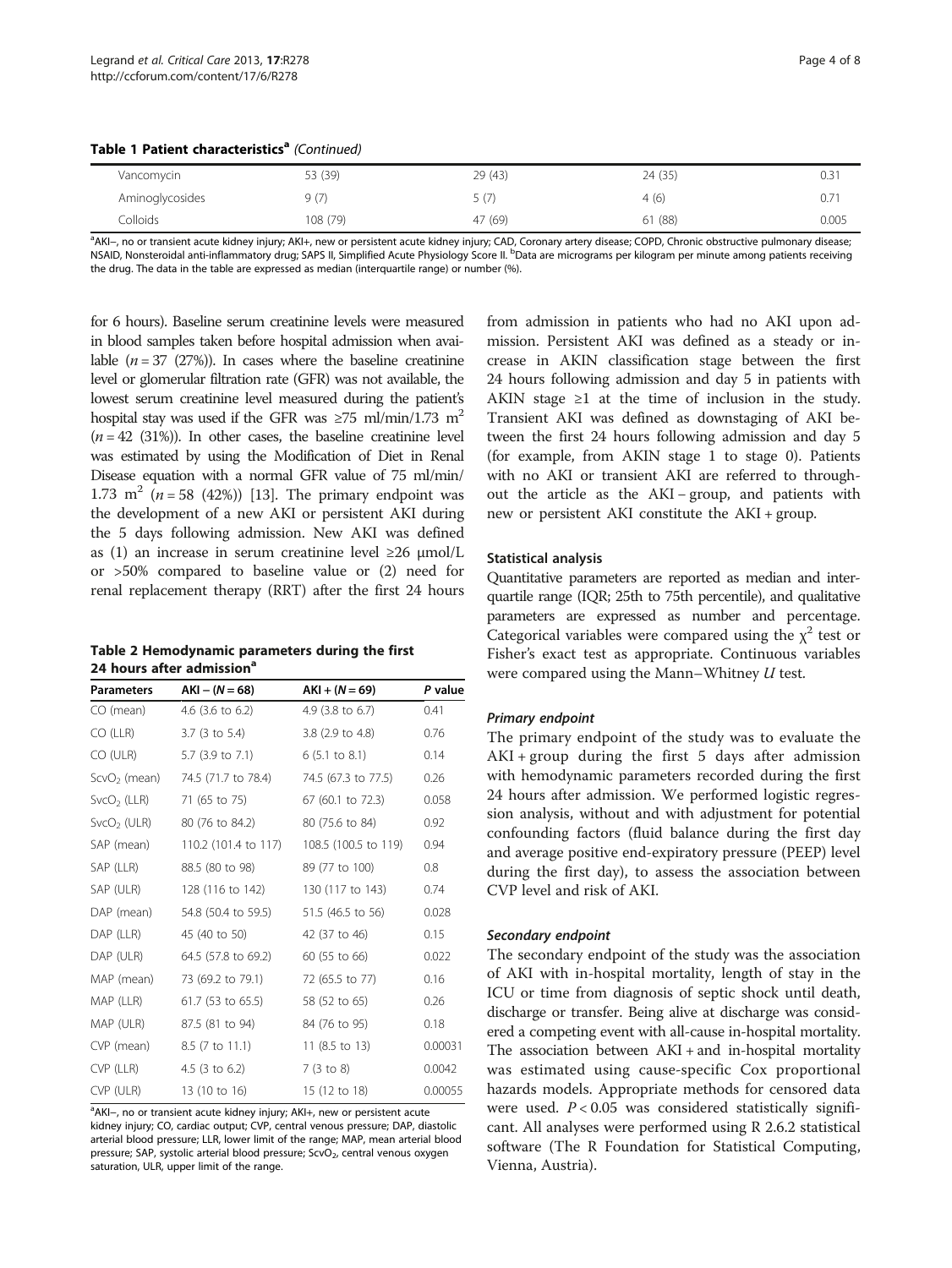<span id="page-3-0"></span>

|  |  | Table 1 Patient characteristics <sup>a</sup> (Continued) |  |
|--|--|----------------------------------------------------------|--|
|--|--|----------------------------------------------------------|--|

| Vancomycin      | 53 (39)  | 29(43)  | 24 (35) | 0.31  |
|-----------------|----------|---------|---------|-------|
| Aminoglycosides | 9(7)     |         | 4(6)    | 0.7   |
| Colloids        | 108 (79) | 47 (69) | 61 (88) | 0.005 |

a<br>AKI–, no or transient acute kidney injury; AKI+, new or persistent acute kidney injury; CAD, Coronary artery disease; COPD, Chronic obstructive pulmonary disease; NSAID, Nonsteroidal anti-inflammatory drug; SAPS II, Simplified Acute Physiology Score II. <sup>b</sup>Data are micrograms per kilogram per minute among patients receiving the drug. The data in the table are expressed as median (interquartile range) or number (%).

for 6 hours). Baseline serum creatinine levels were measured in blood samples taken before hospital admission when available  $(n = 37 \ (27\%)$ ). In cases where the baseline creatinine level or glomerular filtration rate (GFR) was not available, the lowest serum creatinine level measured during the patient's hospital stay was used if the GFR was  $\geq 75$  ml/min/1.73 m<sup>2</sup>  $(n = 42 \text{ (31%)}).$  In other cases, the baseline creatinine level was estimated by using the Modification of Diet in Renal Disease equation with a normal GFR value of 75 ml/min/ 1.73 m<sup>2</sup> (*n* = 58 (42%)) [\[13](#page-6-0)]. The primary endpoint was the development of a new AKI or persistent AKI during the 5 days following admission. New AKI was defined as (1) an increase in serum creatinine level  $\geq 26$  µmol/L or >50% compared to baseline value or (2) need for renal replacement therapy (RRT) after the first 24 hours

| Table 2 Hemodynamic parameters during the first |
|-------------------------------------------------|
| 24 hours after admission <sup>a</sup>           |

| <b>Parameters</b>       | $AKI - (N = 68)$            | $AKI + (N = 69)$            | P value |
|-------------------------|-----------------------------|-----------------------------|---------|
| CO (mean)               | 4.6 $(3.6 \text{ to } 6.2)$ | 4.9 $(3.8 \text{ to } 6.7)$ | 0.41    |
| CO (LLR)                | 3.7 (3 to 5.4)              | $3.8$ (2.9 to 4.8)          | 0.76    |
| CO (ULR)                | 5.7 (3.9 to 7.1)            | $6(5.1 \text{ to } 8.1)$    | 0.14    |
| $ScvO2$ (mean)          | 74.5 (71.7 to 78.4)         | 74.5 (67.3 to 77.5)         | 0.26    |
| $SvCO2$ (LLR)           | 71 (65 to 75)               | 67 (60.1 to 72.3)           | 0.058   |
| SvCO <sub>2</sub> (ULR) | 80 (76 to 84.2)             | 80 (75.6 to 84)             | 0.92    |
| SAP (mean)              | 110.2 (101.4 to 117)        | 108.5 (100.5 to 119)        | 0.94    |
| SAP (LLR)               | 88.5 (80 to 98)             | 89 (77 to 100)              | 0.8     |
| SAP (ULR)               | 128 (116 to 142)            | 130 (117 to 143)            | 0.74    |
| DAP (mean)              | 54.8 (50.4 to 59.5)         | 51.5 (46.5 to 56)           | 0.028   |
| DAP (LLR)               | 45 (40 to 50)               | 42 (37 to 46)               | 0.15    |
| DAP (ULR)               | 64.5 (57.8 to 69.2)         | 60 (55 to 66)               | 0.022   |
| MAP (mean)              | 73 (69.2 to 79.1)           | 72 (65.5 to 77)             | 0.16    |
| MAP (LLR)               | 61.7 (53 to 65.5)           | 58 (52 to 65)               | 0.26    |
| MAP (ULR)               | 87.5 (81 to 94)             | 84 (76 to 95)               | 0.18    |
| CVP (mean)              | 8.5 (7 to 11.1)             | 11 $(8.5 \text{ to } 13)$   | 0.00031 |
| CVP (LLR)               | 4.5 $(3 \text{ to } 6.2)$   | 7(3 to 8)                   | 0.0042  |
| CVP (ULR)               | 13 (10 to 16)               | 15 (12 to 18)               | 0.00055 |

<sup>a</sup>AKI−, no or transient acute kidney injury; AKI+, new or persistent acute kidney injury; CO, cardiac output; CVP, central venous pressure; DAP, diastolic arterial blood pressure; LLR, lower limit of the range; MAP, mean arterial blood pressure; SAP, systolic arterial blood pressure; ScvO<sub>2</sub>, central venous oxygen saturation, ULR, upper limit of the range.

from admission in patients who had no AKI upon admission. Persistent AKI was defined as a steady or increase in AKIN classification stage between the first 24 hours following admission and day 5 in patients with AKIN stage  $\geq 1$  at the time of inclusion in the study. Transient AKI was defined as downstaging of AKI between the first 24 hours following admission and day 5 (for example, from AKIN stage 1 to stage 0). Patients with no AKI or transient AKI are referred to throughout the article as the AKI − group, and patients with new or persistent AKI constitute the AKI + group.

## Statistical analysis

Quantitative parameters are reported as median and interquartile range (IQR; 25th to 75th percentile), and qualitative parameters are expressed as number and percentage. Categorical variables were compared using the  $\chi^2$  test or Fisher's exact test as appropriate. Continuous variables were compared using the Mann–Whitney U test.

#### Primary endpoint

The primary endpoint of the study was to evaluate the  $AKI + group during the first 5 days after admission$ with hemodynamic parameters recorded during the first 24 hours after admission. We performed logistic regression analysis, without and with adjustment for potential confounding factors (fluid balance during the first day and average positive end-expiratory pressure (PEEP) level during the first day), to assess the association between CVP level and risk of AKI.

#### Secondary endpoint

The secondary endpoint of the study was the association of AKI with in-hospital mortality, length of stay in the ICU or time from diagnosis of septic shock until death, discharge or transfer. Being alive at discharge was considered a competing event with all-cause in-hospital mortality. The association between AKI + and in-hospital mortality was estimated using cause-specific Cox proportional hazards models. Appropriate methods for censored data were used.  $P < 0.05$  was considered statistically significant. All analyses were performed using R 2.6.2 statistical software (The R Foundation for Statistical Computing, Vienna, Austria).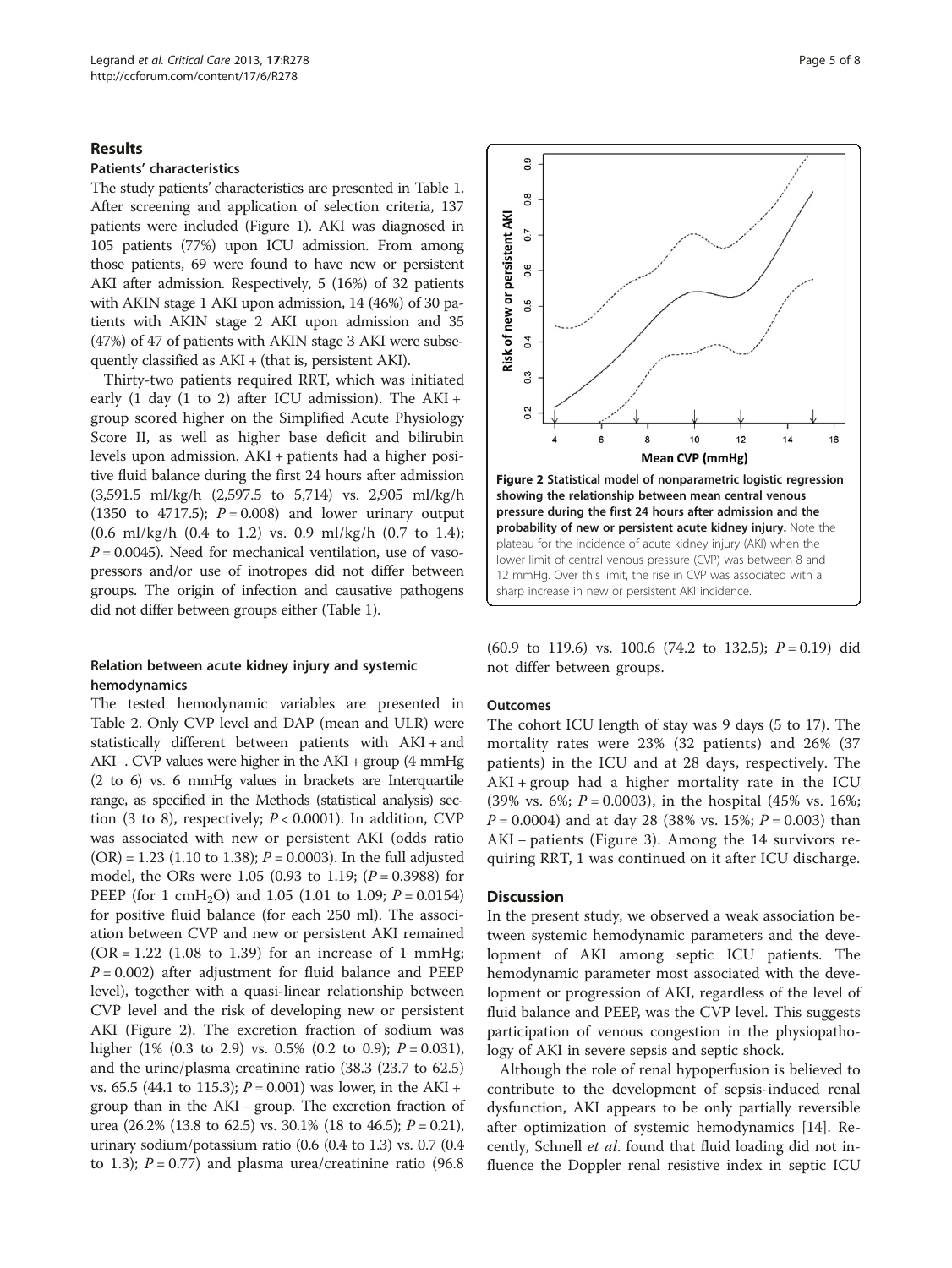#### Results

## Patients' characteristics

The study patients' characteristics are presented in Table [1](#page-2-0). After screening and application of selection criteria, 137 patients were included (Figure [1](#page-1-0)). AKI was diagnosed in 105 patients (77%) upon ICU admission. From among those patients, 69 were found to have new or persistent AKI after admission. Respectively, 5 (16%) of 32 patients with AKIN stage 1 AKI upon admission, 14 (46%) of 30 patients with AKIN stage 2 AKI upon admission and 35 (47%) of 47 of patients with AKIN stage 3 AKI were subsequently classified as AKI + (that is, persistent AKI).

Thirty-two patients required RRT, which was initiated early (1 day (1 to 2) after ICU admission). The AKI + group scored higher on the Simplified Acute Physiology Score II, as well as higher base deficit and bilirubin levels upon admission. AKI + patients had a higher positive fluid balance during the first 24 hours after admission (3,591.5 ml/kg/h (2,597.5 to 5,714) vs. 2,905 ml/kg/h (1350 to 4717.5);  $P = 0.008$ ) and lower urinary output (0.6 ml/kg/h (0.4 to 1.2) vs. 0.9 ml/kg/h (0.7 to 1.4);  $P = 0.0045$ ). Need for mechanical ventilation, use of vasopressors and/or use of inotropes did not differ between groups. The origin of infection and causative pathogens did not differ between groups either (Table [1](#page-2-0)).

## Relation between acute kidney injury and systemic hemodynamics

The tested hemodynamic variables are presented in Table [2.](#page-3-0) Only CVP level and DAP (mean and ULR) were statistically different between patients with AKI + and AKI−. CVP values were higher in the AKI + group (4 mmHg (2 to 6) vs. 6 mmHg values in brackets are Interquartile range, as specified in the Methods (statistical analysis) section (3 to 8), respectively;  $P < 0.0001$ ). In addition, CVP was associated with new or persistent AKI (odds ratio  $(OR) = 1.23$  (1.10 to 1.38);  $P = 0.0003$ ). In the full adjusted model, the ORs were 1.05 (0.93 to 1.19;  $(P = 0.3988)$  for PEEP (for 1 cmH<sub>2</sub>O) and 1.05 (1.01 to 1.09;  $P = 0.0154$ ) for positive fluid balance (for each 250 ml). The association between CVP and new or persistent AKI remained  $(OR = 1.22$   $(1.08$  to 1.39) for an increase of 1 mmHg;  $P = 0.002$ ) after adjustment for fluid balance and PEEP level), together with a quasi-linear relationship between CVP level and the risk of developing new or persistent AKI (Figure 2). The excretion fraction of sodium was higher (1% (0.3 to 2.9) vs. 0.5% (0.2 to 0.9);  $P = 0.031$ ), and the urine/plasma creatinine ratio (38.3 (23.7 to 62.5) vs. 65.5 (44.1 to 115.3);  $P = 0.001$ ) was lower, in the AKI + group than in the AKI − group. The excretion fraction of urea (26.2% (13.8 to 62.5) vs. 30.1% (18 to 46.5);  $P = 0.21$ ), urinary sodium/potassium ratio (0.6 (0.4 to 1.3) vs. 0.7 (0.4 to 1.3);  $P = 0.77$  and plasma urea/creatinine ratio (96.8)



(60.9 to 119.6) vs. 100.6 (74.2 to 132.5);  $P = 0.19$ ) did not differ between groups.

#### **Outcomes**

The cohort ICU length of stay was 9 days (5 to 17). The mortality rates were 23% (32 patients) and 26% (37 patients) in the ICU and at 28 days, respectively. The  $AKI + group$  had a higher mortality rate in the ICU (39% vs. 6%;  $P = 0.0003$ ), in the hospital (45% vs. 16%;  $P = 0.0004$ ) and at day 28 (38% vs. 15%;  $P = 0.003$ ) than AKI − patients (Figure [3](#page-5-0)). Among the 14 survivors requiring RRT, 1 was continued on it after ICU discharge.

#### **Discussion**

In the present study, we observed a weak association between systemic hemodynamic parameters and the development of AKI among septic ICU patients. The hemodynamic parameter most associated with the development or progression of AKI, regardless of the level of fluid balance and PEEP, was the CVP level. This suggests participation of venous congestion in the physiopathology of AKI in severe sepsis and septic shock.

Although the role of renal hypoperfusion is believed to contribute to the development of sepsis-induced renal dysfunction, AKI appears to be only partially reversible after optimization of systemic hemodynamics [[14\]](#page-6-0). Recently, Schnell et al. found that fluid loading did not influence the Doppler renal resistive index in septic ICU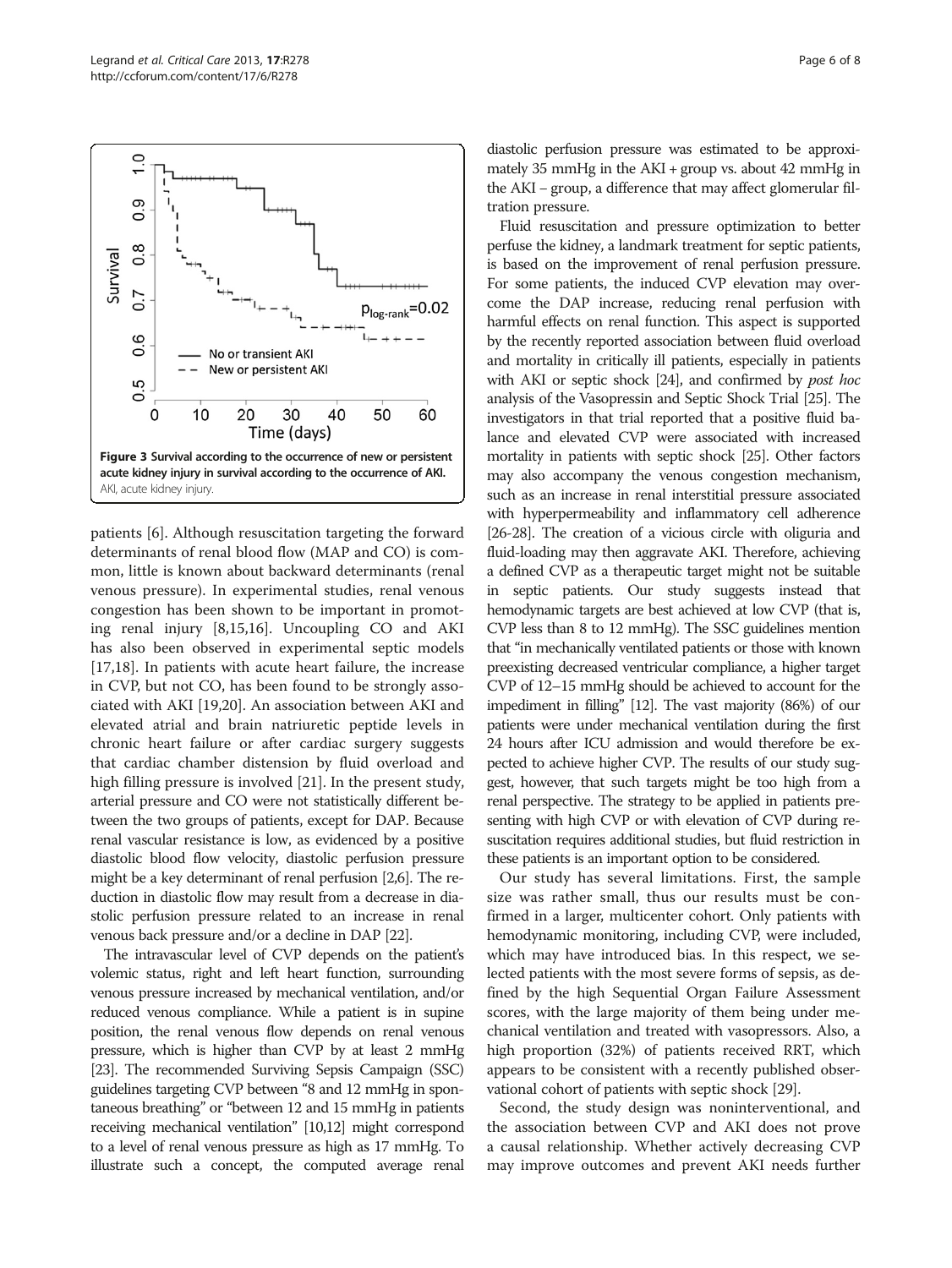patients [[6\]](#page-6-0). Although resuscitation targeting the forward determinants of renal blood flow (MAP and CO) is common, little is known about backward determinants (renal venous pressure). In experimental studies, renal venous congestion has been shown to be important in promoting renal injury [\[8,15,16](#page-6-0)]. Uncoupling CO and AKI has also been observed in experimental septic models [[17,18\]](#page-6-0). In patients with acute heart failure, the increase in CVP, but not CO, has been found to be strongly associated with AKI [[19,20\]](#page-7-0). An association between AKI and elevated atrial and brain natriuretic peptide levels in chronic heart failure or after cardiac surgery suggests that cardiac chamber distension by fluid overload and high filling pressure is involved [\[21\]](#page-7-0). In the present study, arterial pressure and CO were not statistically different between the two groups of patients, except for DAP. Because renal vascular resistance is low, as evidenced by a positive diastolic blood flow velocity, diastolic perfusion pressure might be a key determinant of renal perfusion [\[2,6](#page-6-0)]. The reduction in diastolic flow may result from a decrease in diastolic perfusion pressure related to an increase in renal venous back pressure and/or a decline in DAP [[22](#page-7-0)].

The intravascular level of CVP depends on the patient's volemic status, right and left heart function, surrounding venous pressure increased by mechanical ventilation, and/or reduced venous compliance. While a patient is in supine position, the renal venous flow depends on renal venous pressure, which is higher than CVP by at least 2 mmHg [[23\]](#page-7-0). The recommended Surviving Sepsis Campaign (SSC) guidelines targeting CVP between "8 and 12 mmHg in spontaneous breathing" or "between 12 and 15 mmHg in patients receiving mechanical ventilation" [\[10,12](#page-6-0)] might correspond to a level of renal venous pressure as high as 17 mmHg. To illustrate such a concept, the computed average renal

diastolic perfusion pressure was estimated to be approximately 35 mmHg in the AKI + group vs. about 42 mmHg in the AKI − group, a difference that may affect glomerular filtration pressure.

Fluid resuscitation and pressure optimization to better perfuse the kidney, a landmark treatment for septic patients, is based on the improvement of renal perfusion pressure. For some patients, the induced CVP elevation may overcome the DAP increase, reducing renal perfusion with harmful effects on renal function. This aspect is supported by the recently reported association between fluid overload and mortality in critically ill patients, especially in patients with AKI or septic shock [\[24](#page-7-0)], and confirmed by *post hoc* analysis of the Vasopressin and Septic Shock Trial [[25](#page-7-0)]. The investigators in that trial reported that a positive fluid balance and elevated CVP were associated with increased mortality in patients with septic shock [\[25](#page-7-0)]. Other factors may also accompany the venous congestion mechanism, such as an increase in renal interstitial pressure associated with hyperpermeability and inflammatory cell adherence [[26-28\]](#page-7-0). The creation of a vicious circle with oliguria and fluid-loading may then aggravate AKI. Therefore, achieving a defined CVP as a therapeutic target might not be suitable in septic patients. Our study suggests instead that hemodynamic targets are best achieved at low CVP (that is, CVP less than 8 to 12 mmHg). The SSC guidelines mention that "in mechanically ventilated patients or those with known preexisting decreased ventricular compliance, a higher target CVP of 12–15 mmHg should be achieved to account for the impediment in filling" [\[12](#page-6-0)]. The vast majority (86%) of our patients were under mechanical ventilation during the first 24 hours after ICU admission and would therefore be expected to achieve higher CVP. The results of our study suggest, however, that such targets might be too high from a renal perspective. The strategy to be applied in patients presenting with high CVP or with elevation of CVP during resuscitation requires additional studies, but fluid restriction in these patients is an important option to be considered.

Our study has several limitations. First, the sample size was rather small, thus our results must be confirmed in a larger, multicenter cohort. Only patients with hemodynamic monitoring, including CVP, were included, which may have introduced bias. In this respect, we selected patients with the most severe forms of sepsis, as defined by the high Sequential Organ Failure Assessment scores, with the large majority of them being under mechanical ventilation and treated with vasopressors. Also, a high proportion (32%) of patients received RRT, which appears to be consistent with a recently published observational cohort of patients with septic shock [\[29](#page-7-0)].

Second, the study design was noninterventional, and the association between CVP and AKI does not prove a causal relationship. Whether actively decreasing CVP may improve outcomes and prevent AKI needs further

<span id="page-5-0"></span>

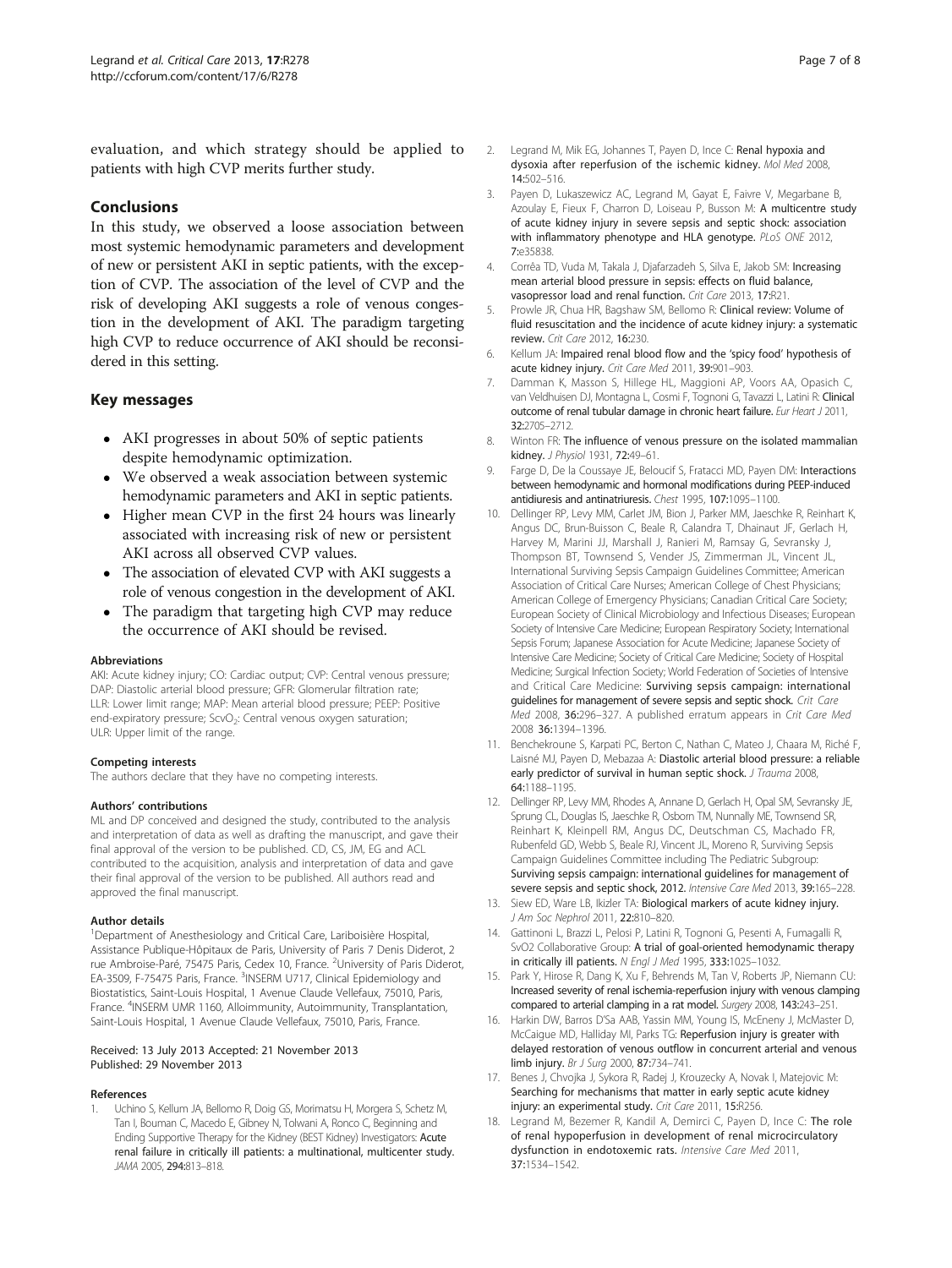<span id="page-6-0"></span>evaluation, and which strategy should be applied to patients with high CVP merits further study.

## Conclusions

In this study, we observed a loose association between most systemic hemodynamic parameters and development of new or persistent AKI in septic patients, with the exception of CVP. The association of the level of CVP and the risk of developing AKI suggests a role of venous congestion in the development of AKI. The paradigm targeting high CVP to reduce occurrence of AKI should be reconsidered in this setting.

#### Key messages

- AKI progresses in about 50% of septic patients despite hemodynamic optimization.
- We observed a weak association between systemic hemodynamic parameters and AKI in septic patients.
- Higher mean CVP in the first 24 hours was linearly associated with increasing risk of new or persistent AKI across all observed CVP values.
- The association of elevated CVP with AKI suggests a role of venous congestion in the development of AKI.
- The paradigm that targeting high CVP may reduce the occurrence of AKI should be revised.

#### Abbreviations

AKI: Acute kidney injury; CO: Cardiac output; CVP: Central venous pressure; DAP: Diastolic arterial blood pressure; GFR: Glomerular filtration rate; LLR: Lower limit range; MAP: Mean arterial blood pressure; PEEP: Positive end-expiratory pressure; ScvO<sub>2</sub>: Central venous oxygen saturation; ULR: Upper limit of the range.

#### Competing interests

The authors declare that they have no competing interests.

#### Authors' contributions

ML and DP conceived and designed the study, contributed to the analysis and interpretation of data as well as drafting the manuscript, and gave their final approval of the version to be published. CD, CS, JM, EG and ACL contributed to the acquisition, analysis and interpretation of data and gave their final approval of the version to be published. All authors read and approved the final manuscript.

#### Author details

<sup>1</sup>Department of Anesthesiology and Critical Care, Lariboisière Hospital, Assistance Publique-Hôpitaux de Paris, University of Paris 7 Denis Diderot, 2 rue Ambroise-Paré, 75475 Paris, Cedex 10, France. <sup>2</sup>University of Paris Diderot, EA-3509, F-75475 Paris, France. <sup>3</sup>INSERM U717, Clinical Epidemiology and Biostatistics, Saint-Louis Hospital, 1 Avenue Claude Vellefaux, 75010, Paris, France. <sup>4</sup>INSERM UMR 1160, Alloimmunity, Autoimmunity, Transplantation, Saint-Louis Hospital, 1 Avenue Claude Vellefaux, 75010, Paris, France.

#### Received: 13 July 2013 Accepted: 21 November 2013 Published: 29 November 2013

#### References

1. Uchino S, Kellum JA, Bellomo R, Doig GS, Morimatsu H, Morgera S, Schetz M, Tan I, Bouman C, Macedo E, Gibney N, Tolwani A, Ronco C, Beginning and Ending Supportive Therapy for the Kidney (BEST Kidney) Investigators: Acute renal failure in critically ill patients: a multinational, multicenter study. JAMA 2005, 294:813–818.

- 2. Legrand M, Mik EG, Johannes T, Payen D, Ince C: Renal hypoxia and dysoxia after reperfusion of the ischemic kidney. Mol Med 2008, 14:502–516.
- Payen D, Lukaszewicz AC, Legrand M, Gayat E, Faivre V, Megarbane B, Azoulay E, Fieux F, Charron D, Loiseau P, Busson M: A multicentre study of acute kidney injury in severe sepsis and septic shock: association with inflammatory phenotype and HLA genotype. PLoS ONE 2012, 7:e35838.
- 4. Corrêa TD, Vuda M, Takala J, Djafarzadeh S, Silva E, Jakob SM: Increasing mean arterial blood pressure in sepsis: effects on fluid balance, vasopressor load and renal function. Crit Care 2013, 17:R21.
- 5. Prowle JR, Chua HR, Bagshaw SM, Bellomo R: Clinical review: Volume of fluid resuscitation and the incidence of acute kidney injury: a systematic review. Crit Care 2012, 16:230.
- 6. Kellum JA: Impaired renal blood flow and the 'spicy food' hypothesis of acute kidney injury. Crit Care Med 2011, 39:901–903.
- 7. Damman K, Masson S, Hillege HL, Maggioni AP, Voors AA, Opasich C, van Veldhuisen DJ, Montagna L, Cosmi F, Tognoni G, Tavazzi L, Latini R: Clinical outcome of renal tubular damage in chronic heart failure. Eur Heart J 2011, 32:2705–2712.
- 8. Winton FR: The influence of venous pressure on the isolated mammalian kidney. J Physiol 1931, 72:49–61.
- 9. Farge D, De la Coussaye JE, Beloucif S, Fratacci MD, Payen DM: Interactions between hemodynamic and hormonal modifications during PEEP-induced antidiuresis and antinatriuresis. Chest 1995, 107:1095–1100.
- 10. Dellinger RP, Levy MM, Carlet JM, Bion J, Parker MM, Jaeschke R, Reinhart K, Angus DC, Brun-Buisson C, Beale R, Calandra T, Dhainaut JF, Gerlach H, Harvey M, Marini JJ, Marshall J, Ranieri M, Ramsay G, Sevransky J, Thompson BT, Townsend S, Vender JS, Zimmerman JL, Vincent JL, International Surviving Sepsis Campaign Guidelines Committee; American Association of Critical Care Nurses; American College of Chest Physicians; American College of Emergency Physicians; Canadian Critical Care Society; European Society of Clinical Microbiology and Infectious Diseases; European Society of Intensive Care Medicine; European Respiratory Society; International Sepsis Forum; Japanese Association for Acute Medicine; Japanese Society of Intensive Care Medicine; Society of Critical Care Medicine; Society of Hospital Medicine; Surgical Infection Society; World Federation of Societies of Intensive and Critical Care Medicine: Surviving sepsis campaign: international guidelines for management of severe sepsis and septic shock. Crit Care Med 2008, 36:296–327. A published erratum appears in Crit Care Med 2008 36:1394–1396.
- 11. Benchekroune S, Karpati PC, Berton C, Nathan C, Mateo J, Chaara M, Riché F, Laisné MJ, Payen D, Mebazaa A: Diastolic arterial blood pressure: a reliable early predictor of survival in human septic shock. J Trauma 2008, 64:1188–1195.
- 12. Dellinger RP, Levy MM, Rhodes A, Annane D, Gerlach H, Opal SM, Sevransky JE, Sprung CL, Douglas IS, Jaeschke R, Osborn TM, Nunnally ME, Townsend SR, Reinhart K, Kleinpell RM, Angus DC, Deutschman CS, Machado FR, Rubenfeld GD, Webb S, Beale RJ, Vincent JL, Moreno R, Surviving Sepsis Campaign Guidelines Committee including The Pediatric Subgroup: Surviving sepsis campaign: international guidelines for management of severe sepsis and septic shock, 2012. Intensive Care Med 2013, 39:165–228.
- 13. Siew ED, Ware LB, Ikizler TA: Biological markers of acute kidney injury. J Am Soc Nephrol 2011, 22:810–820.
- 14. Gattinoni L, Brazzi L, Pelosi P, Latini R, Tognoni G, Pesenti A, Fumagalli R, SvO2 Collaborative Group: A trial of goal-oriented hemodynamic therapy in critically ill patients. N Engl J Med 1995, 333:1025–1032.
- 15. Park Y, Hirose R, Dang K, Xu F, Behrends M, Tan V, Roberts JP, Niemann CU: Increased severity of renal ischemia-reperfusion injury with venous clamping compared to arterial clamping in a rat model. Surgery 2008, 143:243–251.
- 16. Harkin DW, Barros D'Sa AAB, Yassin MM, Young IS, McEneny J, McMaster D, McCaigue MD, Halliday MI, Parks TG: Reperfusion injury is greater with delayed restoration of venous outflow in concurrent arterial and venous limb injury. Br J Surg 2000, 87:734–741.
- 17. Benes J, Chvojka J, Sykora R, Radej J, Krouzecky A, Novak I, Matejovic M: Searching for mechanisms that matter in early septic acute kidney injury: an experimental study. Crit Care 2011, 15:R256.
- 18. Legrand M, Bezemer R, Kandil A, Demirci C, Payen D, Ince C: The role of renal hypoperfusion in development of renal microcirculatory dysfunction in endotoxemic rats. Intensive Care Med 2011, 37:1534–1542.